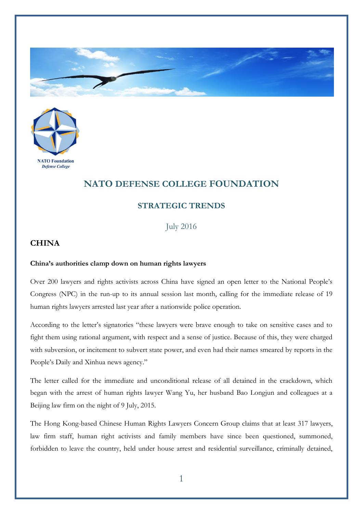



## **NATO DEFENSE COLLEGE FOUNDATION**

## **STRATEGIC TRENDS**

July 2016

## **CHINA**

## **China's authorities clamp down on human rights lawyers**

Over 200 lawyers and rights activists across China have signed an open letter to the National People's Congress (NPC) in the run-up to its annual session last month, calling for the immediate release of 19 human rights lawyers arrested last year after a nationwide police operation.

According to the letter's signatories "these lawyers were brave enough to take on sensitive cases and to fight them using rational argument, with respect and a sense of justice. Because of this, they were charged with subversion, or incitement to subvert state power, and even had their names smeared by reports in the People's Daily and Xinhua news agency."

The letter called for the immediate and unconditional release of all detained in the crackdown, which began with the arrest of human rights lawyer Wang Yu, her husband Bao Longjun and colleagues at a Beijing law firm on the night of 9 July, 2015.

The Hong Kong-based Chinese Human Rights Lawyers Concern Group claims that at least 317 lawyers, law firm staff, human right activists and family members have since been questioned, summoned, forbidden to leave the country, held under house arrest and residential surveillance, criminally detained,